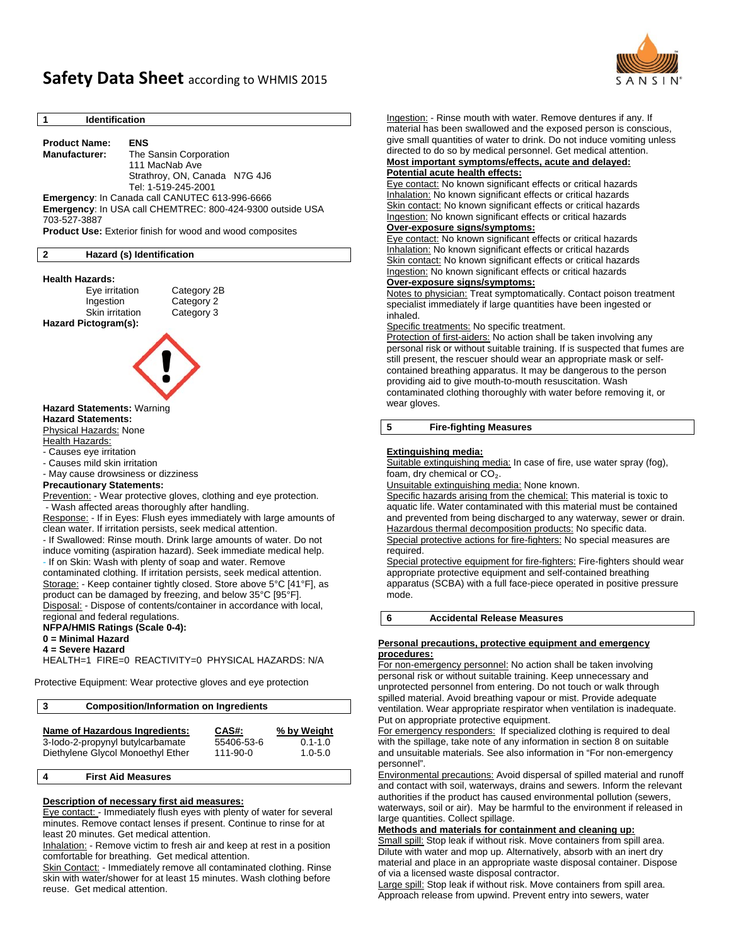

# **Safety Data Sheet** according to WHMIS <sup>2015</sup>

#### **1 Identification**

**Product Name: ENS** **Manufacturer:** The Sansin Corporation 111 MacNab Ave Strathroy, ON, Canada N7G 4J6 Tel: 1-519-245-2001

**Emergency**: In Canada call CANUTEC 613-996-6666 **Emergency**: In USA call CHEMTREC: 800-424-9300 outside USA 703-527-3887

**Product Use:** Exterior finish for wood and wood composites

#### **2 Hazard (s) Identification**

# **Health Hazards:**<br>Eye irritation

Category 2B Ingestion Category 2 Skin irritation Category 3 **Hazard Pictogram(s):** 



# **Hazard Statements:** Warning **Hazard Statements:**

Physical Hazards: None

Health Hazards:

- Causes eye irritation

- Causes mild skin irritation

- May cause drowsiness or dizziness

# **Precautionary Statements:**

Prevention: - Wear protective gloves, clothing and eye protection. - Wash affected areas thoroughly after handling.

Response: - If in Eyes: Flush eyes immediately with large amounts of clean water. If irritation persists, seek medical attention.

- If Swallowed: Rinse mouth. Drink large amounts of water. Do not induce vomiting (aspiration hazard). Seek immediate medical help.

- If on Skin: Wash with plenty of soap and water. Remove contaminated clothing. If irritation persists, seek medical attention. Storage: - Keep container tightly closed. Store above 5°C [41°F], as

product can be damaged by freezing, and below 35°C [95°F]. Disposal: - Dispose of contents/container in accordance with local, regional and federal regulations.

#### **NFPA/HMIS Ratings (Scale 0-4):**

**0 = Minimal Hazard** 

**4 = Severe Hazard** 

HEALTH=1 FIRE=0 REACTIVITY=0 PHYSICAL HAZARDS: N/A

Protective Equipment: Wear protective gloves and eye protection

**3 Composition/Information on Ingredients** 

| Name of Hazardous Ingredients:    | CAS#:      | % by Weight |
|-----------------------------------|------------|-------------|
| 3-lodo-2-propynyl butylcarbamate  | 55406-53-6 | $0.1 - 1.0$ |
| Diethylene Glycol Monoethyl Ether | 111-90-0   | $1.0 - 5.0$ |
|                                   |            |             |

#### **4 First Aid Measures**

### **Description of necessary first aid measures:**

Eye contact: - Immediately flush eyes with plenty of water for several minutes. Remove contact lenses if present. Continue to rinse for at least 20 minutes. Get medical attention.

Inhalation: - Remove victim to fresh air and keep at rest in a position comfortable for breathing. Get medical attention.

Skin Contact: - Immediately remove all contaminated clothing. Rinse skin with water/shower for at least 15 minutes. Wash clothing before reuse. Get medical attention.

Ingestion: - Rinse mouth with water. Remove dentures if any. If material has been swallowed and the exposed person is conscious, give small quantities of water to drink. Do not induce vomiting unless directed to do so by medical personnel. Get medical attention.

#### **Most important symptoms/effects, acute and delayed: Potential acute health effects:**

Eye contact: No known significant effects or critical hazards Inhalation: No known significant effects or critical hazards Skin contact: No known significant effects or critical hazards Ingestion: No known significant effects or critical hazards

# **Over-exposure signs/symptoms:**

Eye contact: No known significant effects or critical hazards Inhalation: No known significant effects or critical hazards Skin contact: No known significant effects or critical hazards Ingestion: No known significant effects or critical hazards

# **Over-exposure signs/symptoms:**

Notes to physician: Treat symptomatically. Contact poison treatment specialist immediately if large quantities have been ingested or inhaled.

Specific treatments: No specific treatment.

Protection of first-aiders: No action shall be taken involving any personal risk or without suitable training. If is suspected that fumes are still present, the rescuer should wear an appropriate mask or selfcontained breathing apparatus. It may be dangerous to the person providing aid to give mouth-to-mouth resuscitation. Wash contaminated clothing thoroughly with water before removing it, or wear gloves.

### **5 Fire-fighting Measures**

#### **Extinguishing media:**

Suitable extinguishing media: In case of fire, use water spray (fog), foam, dry chemical or  $CO<sub>2</sub>$ .

Unsuitable extinguishing media: None known.

Specific hazards arising from the chemical: This material is toxic to aquatic life. Water contaminated with this material must be contained and prevented from being discharged to any waterway, sewer or drain. Hazardous thermal decomposition products: No specific data. Special protective actions for fire-fighters: No special measures are required.

Special protective equipment for fire-fighters: Fire-fighters should wear appropriate protective equipment and self-contained breathing apparatus (SCBA) with a full face-piece operated in positive pressure mode.

# **6 Accidental Release Measures**

#### **Personal precautions, protective equipment and emergency procedures:**

For non-emergency personnel: No action shall be taken involving personal risk or without suitable training. Keep unnecessary and unprotected personnel from entering. Do not touch or walk through spilled material. Avoid breathing vapour or mist. Provide adequate ventilation. Wear appropriate respirator when ventilation is inadequate. Put on appropriate protective equipment.

For emergency responders: If specialized clothing is required to deal with the spillage, take note of any information in section 8 on suitable and unsuitable materials. See also information in "For non-emergency personnel".

Environmental precautions: Avoid dispersal of spilled material and runoff and contact with soil, waterways, drains and sewers. Inform the relevant authorities if the product has caused environmental pollution (sewers, waterways, soil or air). May be harmful to the environment if released in large quantities. Collect spillage.

#### **Methods and materials for containment and cleaning up:**

Small spill: Stop leak if without risk. Move containers from spill area. Dilute with water and mop up. Alternatively, absorb with an inert dry material and place in an appropriate waste disposal container. Dispose of via a licensed waste disposal contractor.

Large spill: Stop leak if without risk. Move containers from spill area. Approach release from upwind. Prevent entry into sewers, water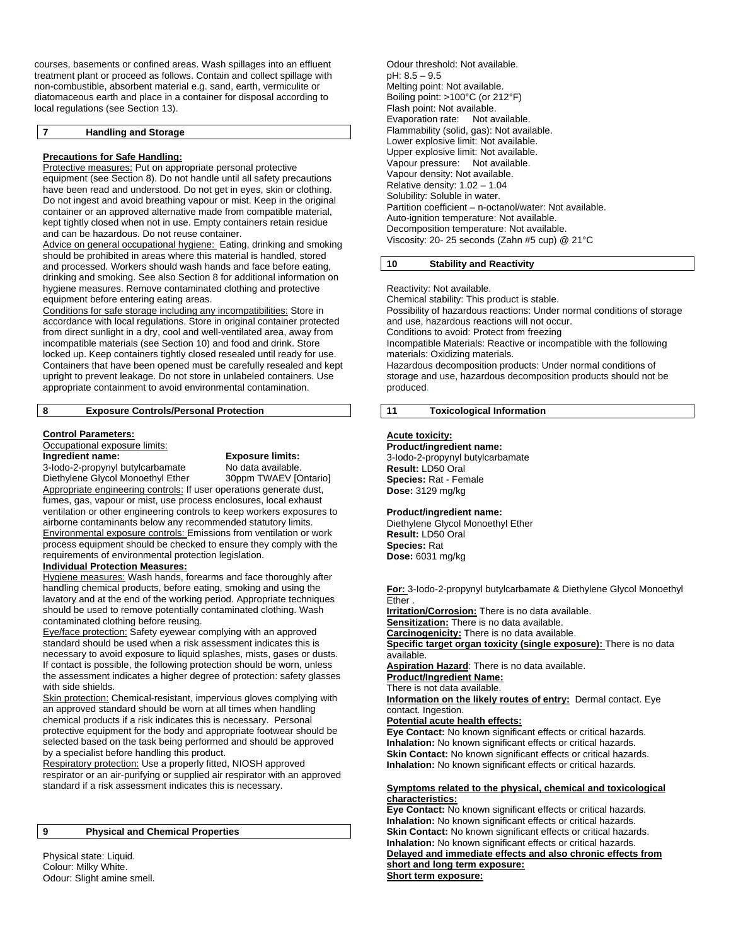courses, basements or confined areas. Wash spillages into an effluent treatment plant or proceed as follows. Contain and collect spillage with non-combustible, absorbent material e.g. sand, earth, vermiculite or diatomaceous earth and place in a container for disposal according to local regulations (see Section 13).

#### **7 Handling and Storage**

#### **Precautions for Safe Handling:**

Protective measures: Put on appropriate personal protective equipment (see Section 8). Do not handle until all safety precautions have been read and understood. Do not get in eyes, skin or clothing. Do not ingest and avoid breathing vapour or mist. Keep in the original container or an approved alternative made from compatible material, kept tightly closed when not in use. Empty containers retain residue and can be hazardous. Do not reuse container.

Advice on general occupational hygiene: Eating, drinking and smoking should be prohibited in areas where this material is handled, stored and processed. Workers should wash hands and face before eating, drinking and smoking. See also Section 8 for additional information on hygiene measures. Remove contaminated clothing and protective equipment before entering eating areas.

Conditions for safe storage including any incompatibilities: Store in accordance with local regulations. Store in original container protected from direct sunlight in a dry, cool and well-ventilated area, away from incompatible materials (see Section 10) and food and drink. Store locked up. Keep containers tightly closed resealed until ready for use. Containers that have been opened must be carefully resealed and kept upright to prevent leakage. Do not store in unlabeled containers. Use appropriate containment to avoid environmental contamination.

## **8 Exposure Controls/Personal Protection**

#### **Control Parameters:**

Occupational exposure limits:

**Ingredient name: Exposure limits:** 

3-Iodo-2-propynyl butylcarbamate No data available.<br>
Diethylene Glycol Monoethyl Ether 30ppm TWAEV [Ontario] Diethylene Glycol Monoethyl Ether Appropriate engineering controls: If user operations generate dust, fumes, gas, vapour or mist, use process enclosures, local exhaust ventilation or other engineering controls to keep workers exposures to airborne contaminants below any recommended statutory limits. Environmental exposure controls: Emissions from ventilation or work process equipment should be checked to ensure they comply with the requirements of environmental protection legislation.

# **Individual Protection Measures:**

Hygiene measures: Wash hands, forearms and face thoroughly after handling chemical products, before eating, smoking and using the lavatory and at the end of the working period. Appropriate techniques should be used to remove potentially contaminated clothing. Wash contaminated clothing before reusing.

Eye/face protection: Safety eyewear complying with an approved standard should be used when a risk assessment indicates this is necessary to avoid exposure to liquid splashes, mists, gases or dusts. If contact is possible, the following protection should be worn, unless the assessment indicates a higher degree of protection: safety glasses with side shields.

Skin protection: Chemical-resistant, impervious gloves complying with an approved standard should be worn at all times when handling chemical products if a risk indicates this is necessary. Personal protective equipment for the body and appropriate footwear should be selected based on the task being performed and should be approved by a specialist before handling this product.

Respiratory protection: Use a properly fitted, NIOSH approved respirator or an air-purifying or supplied air respirator with an approved standard if a risk assessment indicates this is necessary.

#### **9 Physical and Chemical Properties**

Physical state: Liquid. Colour: Milky White. Odour: Slight amine smell.

Odour threshold: Not available. pH: 8.5 – 9.5 Melting point: Not available. Boiling point: >100°C (or 212°F) Flash point: Not available. Evaporation rate: Not available. Flammability (solid, gas): Not available. Lower explosive limit: Not available. Upper explosive limit: Not available. Vapour pressure: Not available. Vapour density: Not available. Relative density: 1.02 – 1.04 Solubility: Soluble in water. Partition coefficient – n-octanol/water: Not available. Auto-ignition temperature: Not available. Decomposition temperature: Not available. Viscosity: 20- 25 seconds (Zahn #5 cup) @ 21°C

#### **10 Stability and Reactivity**

Reactivity: Not available.

Chemical stability: This product is stable. Possibility of hazardous reactions: Under normal conditions of storage and use, hazardous reactions will not occur. Conditions to avoid: Protect from freezing Incompatible Materials: Reactive or incompatible with the following materials: Oxidizing materials. Hazardous decomposition products: Under normal conditions of storage and use, hazardous decomposition products should not be produced.

### **11 Toxicological Information**

#### **Acute toxicity:**

**Product/ingredient name:**  3-Iodo-2-propynyl butylcarbamate **Result:** LD50 Oral **Species:** Rat - Female **Dose:** 3129 mg/kg

#### **Product/ingredient name:**

Diethylene Glycol Monoethyl Ether **Result:** LD50 Oral **Species:** Rat **Dose:** 6031 mg/kg

**For:** 3-Iodo-2-propynyl butylcarbamate & Diethylene Glycol Monoethyl Ether .

**Irritation/Corrosion:** There is no data available.

**Sensitization:** There is no data available. **Carcinogenicity:** There is no data available.

**Specific target organ toxicity (single exposure):** There is no data available.

**Aspiration Hazard**: There is no data available.

**Product/Ingredient Name:** 

There is not data available.

**Information on the likely routes of entry:** Dermal contact. Eye contact. Ingestion.

#### **Potential acute health effects:**

**Eye Contact:** No known significant effects or critical hazards. **Inhalation:** No known significant effects or critical hazards. **Skin Contact:** No known significant effects or critical hazards. **Inhalation:** No known significant effects or critical hazards.

#### **Symptoms related to the physical, chemical and toxicological characteristics:**

**Eye Contact:** No known significant effects or critical hazards. **Inhalation:** No known significant effects or critical hazards. **Skin Contact:** No known significant effects or critical hazards. **Inhalation:** No known significant effects or critical hazards.

**Delayed and immediate effects and also chronic effects from short and long term exposure:** 

**Short term exposure:**